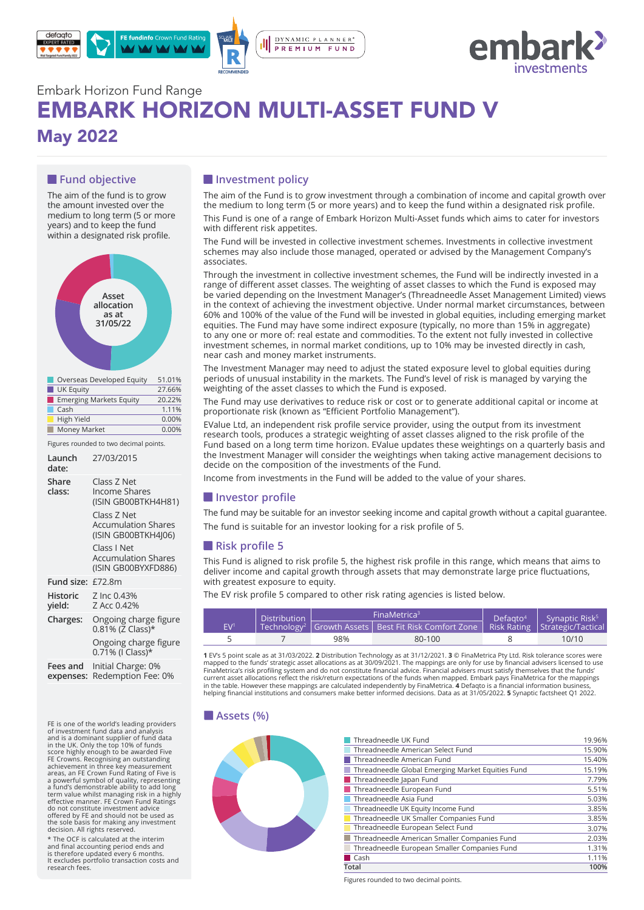



# Embark Horizon Fund Range EMBARK HORIZON MULTI-ASSET FUND V May 2022

# **Fund objective**

The aim of the fund is to grow the amount invested over the medium to long term (5 or more years) and to keep the fund within a designated risk profile.



| Overseas Developed Equity      | 51.01%   |
|--------------------------------|----------|
| UK Equity                      | 27.66%   |
| <b>Emerging Markets Equity</b> | 20.22%   |
| Cash                           | 1.11%    |
| High Yield                     | $0.00\%$ |
| Money Market                   | 0.00%    |

Figures rounded to two decimal points.

| Launch<br>date:           | 27/03/2015                                                                                                                                                                                  |
|---------------------------|---------------------------------------------------------------------------------------------------------------------------------------------------------------------------------------------|
| Share<br>class:           | Class Z Net<br>Income Shares<br>(ISIN GB00BTKH4H81)<br>Class Z Net<br><b>Accumulation Shares</b><br>(ISIN GB00BTKH4J06)<br>Class I Net<br><b>Accumulation Shares</b><br>(ISIN GB00BYXFD886) |
| Fund size: £72.8m         |                                                                                                                                                                                             |
| <b>Historic</b><br>yield: | Z Inc 0.43%<br>Z Acc 0.42%                                                                                                                                                                  |
| Charges:                  | Ongoing charge figure<br>0.81% (Z Class)*                                                                                                                                                   |
|                           | Ongoing charge figure<br>$0.71\%$ (I Class)*                                                                                                                                                |
| Fees and<br>expenses:     | Initial Charge: 0%<br>Redemption Fee: 0%                                                                                                                                                    |

**Example 18 ASSETS (%)**<br>FE is one of the world's leading providers<br>of investment fund data and analysis and is a dominant supplier of fund data<br>in the UK. Only the top 10% of funds<br>iscore highly enough to be awarded Five<br>FE Crowns. Recognising an outstanding<br>FE Crowns. Recognising an outstanding<br>areas, an FE Crown Fund Ratin do not constitute investment advice offered by FE and should not be used as the sole basis for making any investment decision. All rights reserved.

\* The OCF is calculated at the interim and final accounting period ends and is therefore updated every 6 months. It excludes portfolio transaction costs and research fees.

## $\blacksquare$  Investment policy

The aim of the Fund is to grow investment through a combination of income and capital growth over the medium to long term (5 or more years) and to keep the fund within a designated risk profile. This Fund is one of a range of Embark Horizon Multi-Asset funds which aims to cater for investors

with different risk appetites.

The Fund will be invested in collective investment schemes. Investments in collective investment schemes may also include those managed, operated or advised by the Management Company's associates.

Through the investment in collective investment schemes, the Fund will be indirectly invested in a range of different asset classes. The weighting of asset classes to which the Fund is exposed may be varied depending on the Investment Manager's (Threadneedle Asset Management Limited) views in the context of achieving the investment objective. Under normal market circumstances, between 60% and 100% of the value of the Fund will be invested in global equities, including emerging market equities. The Fund may have some indirect exposure (typically, no more than 15% in aggregate) to any one or more of: real estate and commodities. To the extent not fully invested in collective investment schemes, in normal market conditions, up to 10% may be invested directly in cash, near cash and money market instruments.

The Investment Manager may need to adjust the stated exposure level to global equities during periods of unusual instability in the markets. The Fund's level of risk is managed by varying the weighting of the asset classes to which the Fund is exposed.

The Fund may use derivatives to reduce risk or cost or to generate additional capital or income at proportionate risk (known as "Efficient Portfolio Management").

EValue Ltd, an independent risk profile service provider, using the output from its investment research tools, produces a strategic weighting of asset classes aligned to the risk profile of the Fund based on a long term time horizon. EValue updates these weightings on a quarterly basis and the Investment Manager will consider the weightings when taking active management decisions to decide on the composition of the investments of the Fund.

Income from investments in the Fund will be added to the value of your shares.

### *<u>I</u>* Investor profile

The fund may be suitable for an investor seeking income and capital growth without a capital guarantee. The fund is suitable for an investor looking for a risk profile of 5.

### **Risk profile 5**

This Fund is aligned to risk profile 5, the highest risk profile in this range, which means that aims to deliver income and capital growth through assets that may demonstrate large price fluctuations, with greatest exposure to equity.

The EV risk profile 5 compared to other risk rating agencies is listed below.

| Distribution    |  |     | FinaMetrica <sup>3</sup>                                                                                | Defaato <sup>4</sup> | Synaptic Risk <sup>5</sup> |  |
|-----------------|--|-----|---------------------------------------------------------------------------------------------------------|----------------------|----------------------------|--|
| EV <sup>1</sup> |  |     | Technology <sup>2</sup>   Growth Assets   Best Fit Risk Comfort Zone   Risk Rating   Strategic/Tactical |                      |                            |  |
|                 |  | 98% | 80-100                                                                                                  |                      | 10/10                      |  |

**1** EV's 5 point scale as at 31/03/2022. **2** Distribution Technology as at 31/12/2021. **3** © FinaMetrica Pty Ltd. Risk tolerance scores were<br>mapped to the funds' strategic asset allocations as at 30/09/2021. The mappings a current asset allocations reflect the risk/return expectations of the funds when mapped. Embark pays FinaMetrica for the mappings<br>in the table. However these mappings are calculated independently by FinaMetrica. **4** Defaqt helping financial institutions and consumers make better informed decisions. Data as at 31/05/2022. **5** Synaptic factsheet Q1 2022.



| Threadneedle UK Fund                              | 19.96% |
|---------------------------------------------------|--------|
| Threadneedle American Select Fund                 | 15.90% |
| Threadneedle American Fund                        | 15.40% |
| Threadneedle Global Emerging Market Equities Fund | 15.19% |
| Threadneedle Japan Fund                           | 7.79%  |
| Threadneedle European Fund                        | 5.51%  |
| Threadneedle Asia Fund                            | 5.03%  |
| Threadneedle UK Equity Income Fund                | 3.85%  |
| Threadneedle UK Smaller Companies Fund            | 3.85%  |
| Threadneedle European Select Fund                 | 3.07%  |
| Threadneedle American Smaller Companies Fund      | 2.03%  |
| Threadneedle European Smaller Companies Fund      | 1.31%  |
| Cash                                              | 1.11%  |
| Total                                             | 100%   |

Figures rounded to two decimal points.